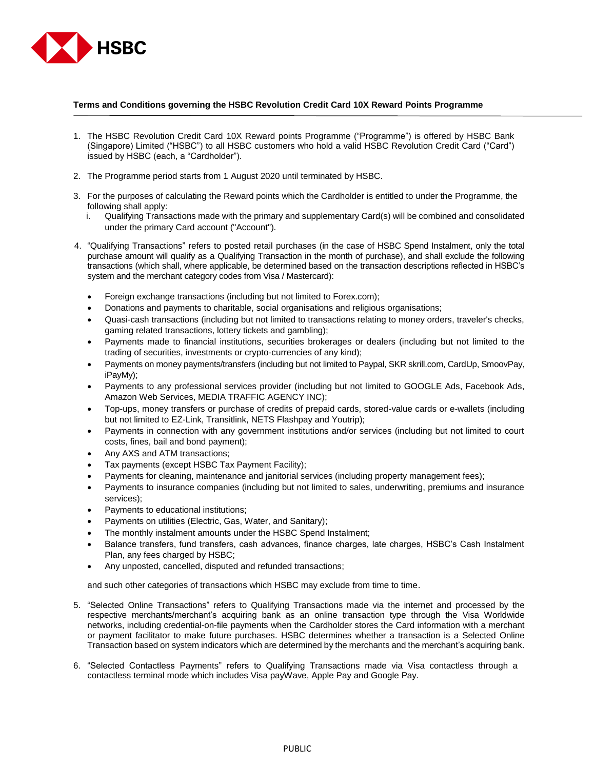

## **Terms and Conditions governing the HSBC Revolution Credit Card 10X Reward Points Programme**

- 1. The HSBC Revolution Credit Card 10X Reward points Programme ("Programme") is offered by HSBC Bank (Singapore) Limited ("HSBC") to all HSBC customers who hold a valid HSBC Revolution Credit Card ("Card") issued by HSBC (each, a "Cardholder").
- 2. The Programme period starts from 1 August 2020 until terminated by HSBC.
- 3. For the purposes of calculating the Reward points which the Cardholder is entitled to under the Programme, the following shall apply:
	- i. Qualifying Transactions made with the primary and supplementary Card(s) will be combined and consolidated under the primary Card account ("Account").
- 4. "Qualifying Transactions" refers to posted retail purchases (in the case of HSBC Spend Instalment, only the total purchase amount will qualify as a Qualifying Transaction in the month of purchase), and shall exclude the following transactions (which shall, where applicable, be determined based on the transaction descriptions reflected in HSBC's system and the merchant category codes from Visa / Mastercard):
	- Foreign exchange transactions (including but not limited to Forex.com);
	- Donations and payments to charitable, social organisations and religious organisations;
	- Quasi-cash transactions (including but not limited to transactions relating to money orders, traveler's checks, gaming related transactions, lottery tickets and gambling);
	- Payments made to financial institutions, securities brokerages or dealers (including but not limited to the trading of securities, investments or crypto-currencies of any kind);
	- Payments on money payments/transfers (including but not limited to Paypal, SKR skrill.com, CardUp, SmoovPay, iPayMy);
	- Payments to any professional services provider (including but not limited to GOOGLE Ads, Facebook Ads, Amazon Web Services, MEDIA TRAFFIC AGENCY INC);
	- Top-ups, money transfers or purchase of credits of prepaid cards, stored-value cards or e-wallets (including but not limited to EZ-Link, Transitlink, NETS Flashpay and Youtrip);
	- Payments in connection with any government institutions and/or services (including but not limited to court costs, fines, bail and bond payment);
	- Any AXS and ATM transactions;
	- Tax payments (except HSBC Tax Payment Facility);
	- Payments for cleaning, maintenance and janitorial services (including property management fees);
	- Payments to insurance companies (including but not limited to sales, underwriting, premiums and insurance services);
	- Payments to educational institutions;
	- Payments on utilities (Electric, Gas, Water, and Sanitary);
	- The monthly instalment amounts under the HSBC Spend Instalment;
	- Balance transfers, fund transfers, cash advances, finance charges, late charges, HSBC's Cash Instalment Plan, any fees charged by HSBC;
	- Any unposted, cancelled, disputed and refunded transactions;

and such other categories of transactions which HSBC may exclude from time to time.

- 5. "Selected Online Transactions" refers to Qualifying Transactions made via the internet and processed by the respective merchants/merchant's acquiring bank as an online transaction type through the Visa Worldwide networks, including credential-on-file payments when the Cardholder stores the Card information with a merchant or payment facilitator to make future purchases. HSBC determines whether a transaction is a Selected Online Transaction based on system indicators which are determined by the merchants and the merchant's acquiring bank.
- 6. "Selected Contactless Payments" refers to Qualifying Transactions made via Visa contactless through a contactless terminal mode which includes Visa payWave, Apple Pay and Google Pay.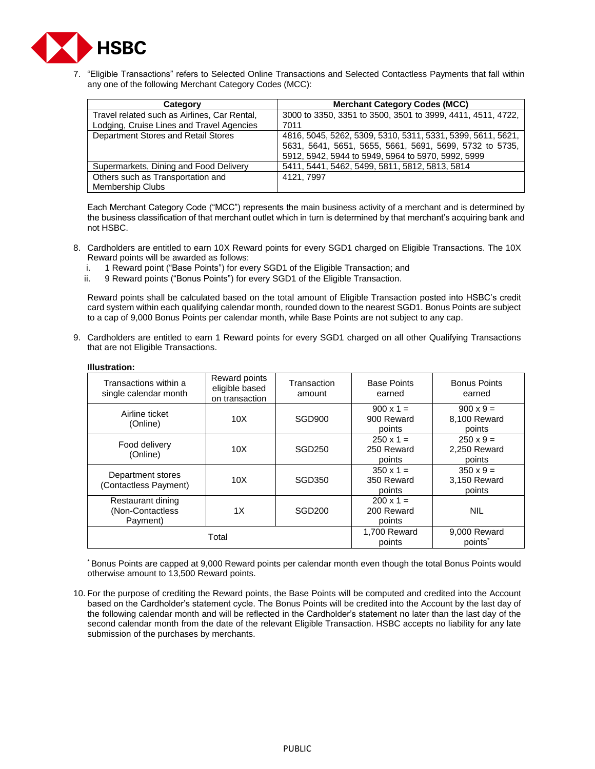

7. "Eligible Transactions" refers to Selected Online Transactions and Selected Contactless Payments that fall within any one of the following Merchant Category Codes (MCC):

| Category                                     | <b>Merchant Category Codes (MCC)</b>                        |
|----------------------------------------------|-------------------------------------------------------------|
| Travel related such as Airlines, Car Rental, | 3000 to 3350, 3351 to 3500, 3501 to 3999, 4411, 4511, 4722, |
| Lodging, Cruise Lines and Travel Agencies    | 7011                                                        |
| Department Stores and Retail Stores          | 4816, 5045, 5262, 5309, 5310, 5311, 5331, 5399, 5611, 5621, |
|                                              | 5631, 5641, 5651, 5655, 5661, 5691, 5699, 5732 to 5735,     |
|                                              | 5912, 5942, 5944 to 5949, 5964 to 5970, 5992, 5999          |
| Supermarkets, Dining and Food Delivery       | 5411, 5441, 5462, 5499, 5811, 5812, 5813, 5814              |
| Others such as Transportation and            | 4121, 7997                                                  |
| Membership Clubs                             |                                                             |

Each Merchant Category Code ("MCC") represents the main business activity of a merchant and is determined by the business classification of that merchant outlet which in turn is determined by that merchant's acquiring bank and not HSBC.

- 8. Cardholders are entitled to earn 10X Reward points for every SGD1 charged on Eligible Transactions. The 10X Reward points will be awarded as follows:<br>i. 1 Reward point ("Base Points") for eve
	- 1 Reward point ("Base Points") for every SGD1 of the Eligible Transaction; and
	- ii. 9 Reward points ("Bonus Points") for every SGD1 of the Eligible Transaction.

Reward points shall be calculated based on the total amount of Eligible Transaction posted into HSBC's credit card system within each qualifying calendar month, rounded down to the nearest SGD1. Bonus Points are subject to a cap of 9,000 Bonus Points per calendar month, while Base Points are not subject to any cap.

9. Cardholders are entitled to earn 1 Reward points for every SGD1 charged on all other Qualifying Transactions that are not Eligible Transactions.

| Transactions within a<br>single calendar month     | Reward points<br>eligible based<br>on transaction | Transaction<br>amount | <b>Base Points</b><br>earned             | <b>Bonus Points</b><br>earned              |
|----------------------------------------------------|---------------------------------------------------|-----------------------|------------------------------------------|--------------------------------------------|
| Airline ticket<br>(Online)                         | 10X                                               | SGD900                | $900 \times 1 =$<br>900 Reward<br>points | $900 \times 9 =$<br>8,100 Reward<br>points |
| Food delivery<br>(Online)                          | 10X                                               | SGD250                | $250 \times 1 =$<br>250 Reward<br>points | $250 \times 9 =$<br>2,250 Reward<br>points |
| Department stores<br>(Contactless Payment)         | 10X                                               | SGD350                | $350 \times 1 =$<br>350 Reward<br>points | $350 \times 9 =$<br>3.150 Reward<br>points |
| Restaurant dining<br>(Non-Contactless)<br>Payment) | 1X                                                | SGD200                | $200 \times 1 =$<br>200 Reward<br>points | <b>NIL</b>                                 |
| Total                                              |                                                   |                       | 1.700 Reward<br>points                   | 9.000 Reward<br>points <sup>*</sup>        |

## **Illustration:**

\* Bonus Points are capped at 9,000 Reward points per calendar month even though the total Bonus Points would otherwise amount to 13,500 Reward points.

10. For the purpose of crediting the Reward points, the Base Points will be computed and credited into the Account based on the Cardholder's statement cycle. The Bonus Points will be credited into the Account by the last day of the following calendar month and will be reflected in the Cardholder's statement no later than the last day of the second calendar month from the date of the relevant Eligible Transaction. HSBC accepts no liability for any late submission of the purchases by merchants.